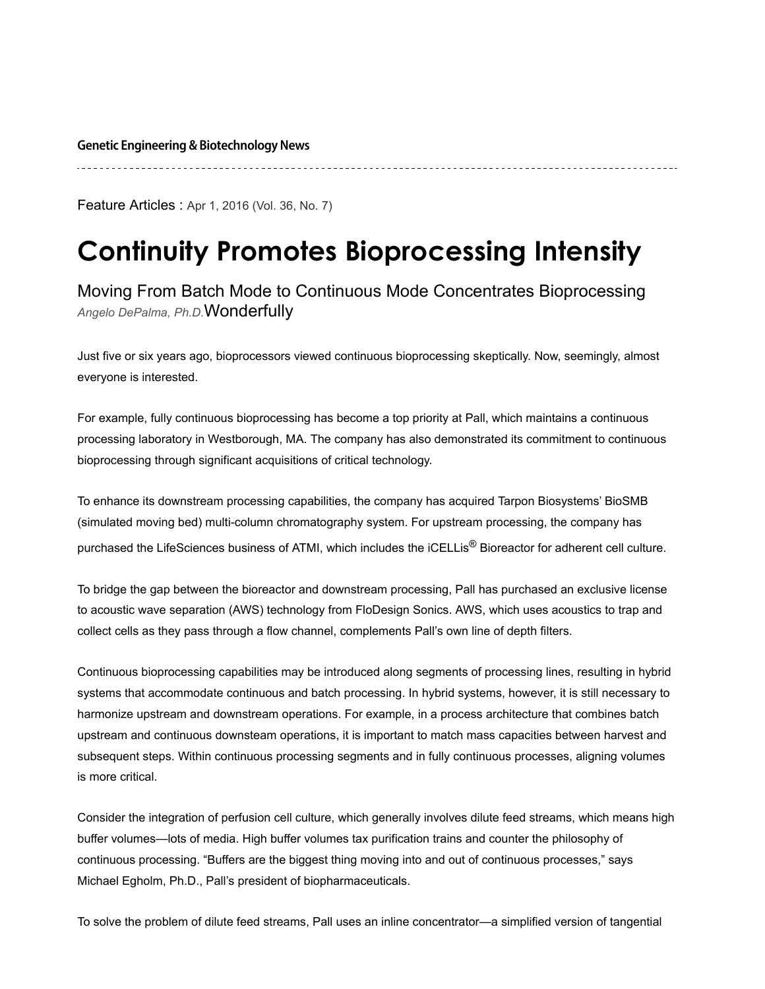[Genetic Engineering & Biotechnology News](http://www.genengnews.com/)

Feature Articles : Apr 1, 2016 (Vol. 36, No. 7)

# **Continuity Promotes Bioprocessing Intensity**

*Angelo DePalma, Ph.D.* WonderfullyMoving From Batch Mode to Continuous Mode Concentrates Bioprocessing

Just five or six years ago, bioprocessors viewed continuous bioprocessing skeptically. Now, seemingly, almost everyone is interested.

For example, fully continuous bioprocessing has become a top priority at Pall, which maintains a continuous processing laboratory in Westborough, MA. The company has also demonstrated its commitment to continuous bioprocessing through significant acquisitions of critical technology.

To enhance its downstream processing capabilities, the company has acquired Tarpon Biosystems' BioSMB (simulated moving bed) multi-column chromatography system. For upstream processing, the company has purchased the LifeSciences business of ATMI, which includes the iCELLis<sup>®</sup> Bioreactor for adherent cell culture.

To bridge the gap between the bioreactor and downstream processing, Pall has purchased an exclusive license to acoustic wave separation (AWS) technology from FloDesign Sonics. AWS, which uses acoustics to trap and collect cells as they pass through a flow channel, complements Pall's own line of depth filters.

Continuous bioprocessing capabilities may be introduced along segments of processing lines, resulting in hybrid systems that accommodate continuous and batch processing. In hybrid systems, however, it is still necessary to harmonize upstream and downstream operations. For example, in a process architecture that combines batch upstream and continuous downsteam operations, it is important to match mass capacities between harvest and subsequent steps. Within continuous processing segments and in fully continuous processes, aligning volumes is more critical.

Consider the integration of perfusion cell culture, which generally involves dilute feed streams, which means high buffer volumes—lots of media. High buffer volumes tax purification trains and counter the philosophy of continuous processing. "Buffers are the biggest thing moving into and out of continuous processes," says Michael Egholm, Ph.D., Pall's president of biopharmaceuticals.

To solve the problem of dilute feed streams, Pall uses an inline concentrator—a simplified version of tangential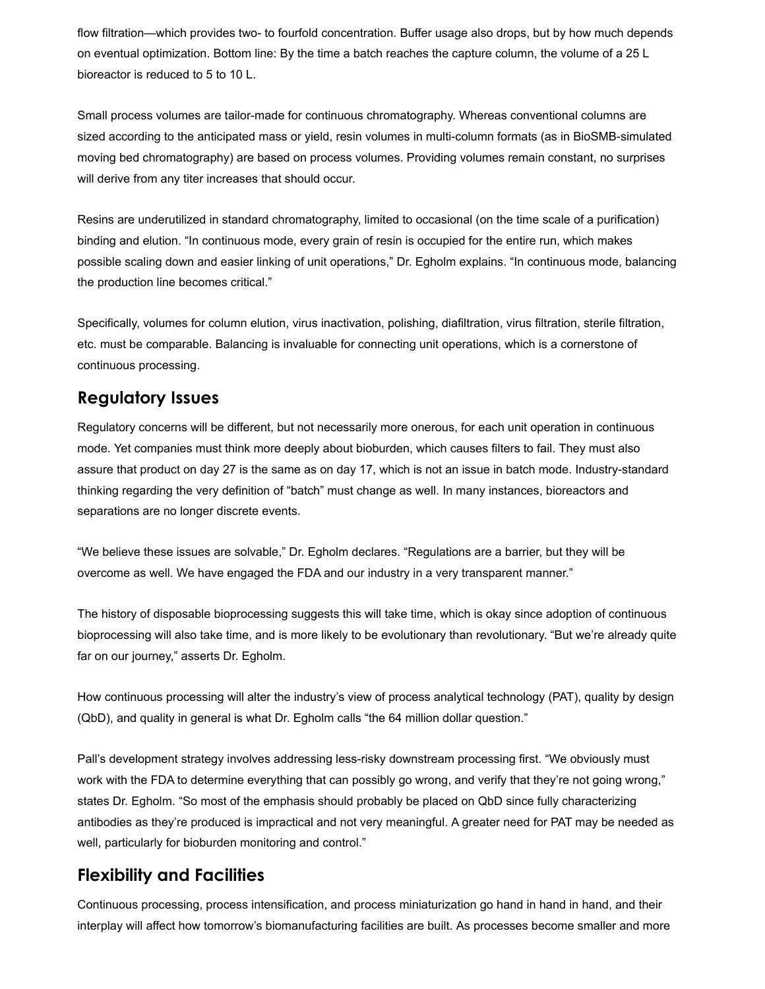flow filtration—which provides two- to fourfold concentration. Buffer usage also drops, but by how much depends on eventual optimization. Bottom line: By the time a batch reaches the capture column, the volume of a 25 L bioreactor is reduced to 5 to 10 L.

Small process volumes are tailor-made for continuous chromatography. Whereas conventional columns are sized according to the anticipated mass or yield, resin volumes in multi-column formats (as in BioSMB-simulated moving bed chromatography) are based on process volumes. Providing volumes remain constant, no surprises will derive from any titer increases that should occur.

Resins are underutilized in standard chromatography, limited to occasional (on the time scale of a purification) binding and elution. "In continuous mode, every grain of resin is occupied for the entire run, which makes possible scaling down and easier linking of unit operations," Dr. Egholm explains. "In continuous mode, balancing the production line becomes critical."

Specifically, volumes for column elution, virus inactivation, polishing, diafiltration, virus filtration, sterile filtration, etc. must be comparable. Balancing is invaluable for connecting unit operations, which is a cornerstone of continuous processing.

#### **Regulatory Issues**

Regulatory concerns will be different, but not necessarily more onerous, for each unit operation in continuous mode. Yet companies must think more deeply about bioburden, which causes filters to fail. They must also assure that product on day 27 is the same as on day 17, which is not an issue in batch mode. Industry-standard thinking regarding the very definition of "batch" must change as well. In many instances, bioreactors and separations are no longer discrete events.

"We believe these issues are solvable," Dr. Egholm declares. "Regulations are a barrier, but they will be overcome as well. We have engaged the FDA and our industry in a very transparent manner."

The history of disposable bioprocessing suggests this will take time, which is okay since adoption of continuous bioprocessing will also take time, and is more likely to be evolutionary than revolutionary. "But we're already quite far on our journey," asserts Dr. Egholm.

How continuous processing will alter the industry's view of process analytical technology (PAT), quality by design (QbD), and quality in general is what Dr. Egholm calls "the 64 million dollar question."

Pall's development strategy involves addressing less-risky downstream processing first. "We obviously must work with the FDA to determine everything that can possibly go wrong, and verify that they're not going wrong," states Dr. Egholm. "So most of the emphasis should probably be placed on QbD since fully characterizing antibodies as they're produced is impractical and not very meaningful. A greater need for PAT may be needed as well, particularly for bioburden monitoring and control."

## **Flexibility and Facilities**

Continuous processing, process intensification, and process miniaturization go hand in hand in hand, and their interplay will affect how tomorrow's biomanufacturing facilities are built. As processes become smaller and more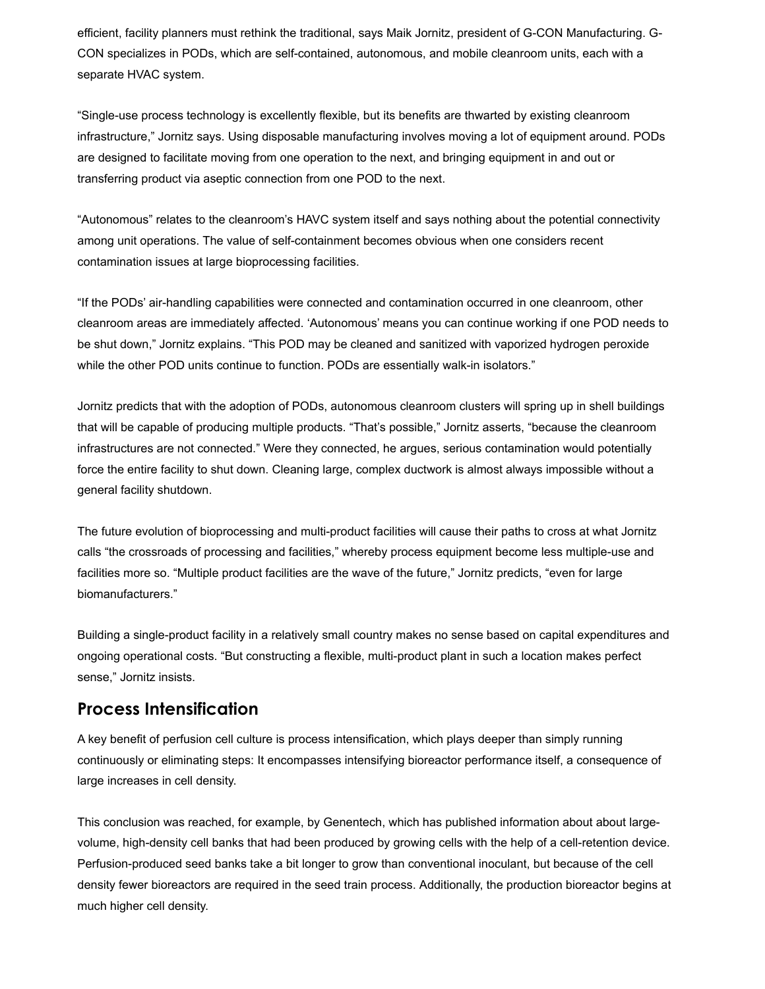efficient, facility planners must rethink the traditional, says Maik Jornitz, president of G-CON Manufacturing. G-CON specializes in PODs, which are self-contained, autonomous, and mobile cleanroom units, each with a separate HVAC system.

"Single-use process technology is excellently flexible, but its benefits are thwarted by existing cleanroom infrastructure," Jornitz says. Using disposable manufacturing involves moving a lot of equipment around. PODs are designed to facilitate moving from one operation to the next, and bringing equipment in and out or transferring product via aseptic connection from one POD to the next.

"Autonomous" relates to the cleanroom's HAVC system itself and says nothing about the potential connectivity among unit operations. The value of self-containment becomes obvious when one considers recent contamination issues at large bioprocessing facilities.

"If the PODs' air-handling capabilities were connected and contamination occurred in one cleanroom, other cleanroom areas are immediately affected. 'Autonomous' means you can continue working if one POD needs to be shut down," Jornitz explains. "This POD may be cleaned and sanitized with vaporized hydrogen peroxide while the other POD units continue to function. PODs are essentially walk-in isolators."

Jornitz predicts that with the adoption of PODs, autonomous cleanroom clusters will spring up in shell buildings that will be capable of producing multiple products. "That's possible," Jornitz asserts, "because the cleanroom infrastructures are not connected." Were they connected, he argues, serious contamination would potentially force the entire facility to shut down. Cleaning large, complex ductwork is almost always impossible without a general facility shutdown.

The future evolution of bioprocessing and multi-product facilities will cause their paths to cross at what Jornitz calls "the crossroads of processing and facilities," whereby process equipment become less multiple-use and facilities more so. "Multiple product facilities are the wave of the future," Jornitz predicts, "even for large biomanufacturers."

Building a single-product facility in a relatively small country makes no sense based on capital expenditures and ongoing operational costs. "But constructing a flexible, multi-product plant in such a location makes perfect sense," Jornitz insists.

#### **Process Intensification**

A key benefit of perfusion cell culture is process intensification, which plays deeper than simply running continuously or eliminating steps: It encompasses intensifying bioreactor performance itself, a consequence of large increases in cell density.

This conclusion was reached, for example, by Genentech, which has published information about about largevolume, high-density cell banks that had been produced by growing cells with the help of a cell-retention device. Perfusion-produced seed banks take a bit longer to grow than conventional inoculant, but because of the cell density fewer bioreactors are required in the seed train process. Additionally, the production bioreactor begins at much higher cell density.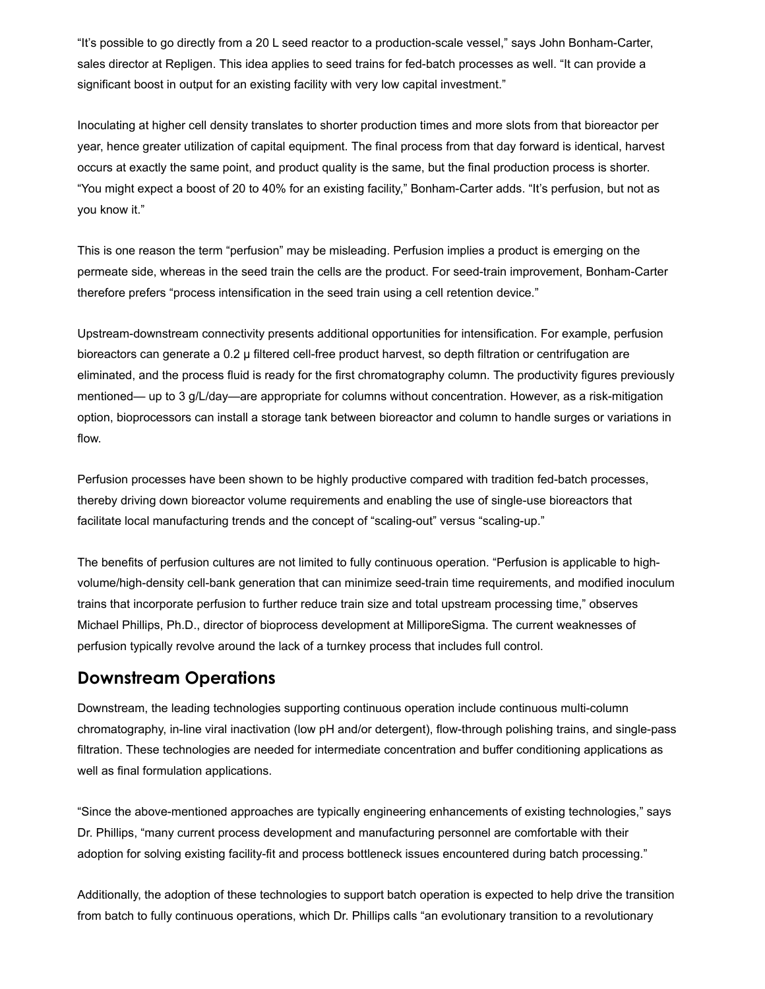"It's possible to go directly from a 20 L seed reactor to a production-scale vessel," says John Bonham-Carter, sales director at Repligen. This idea applies to seed trains for fed-batch processes as well. "It can provide a significant boost in output for an existing facility with very low capital investment."

Inoculating at higher cell density translates to shorter production times and more slots from that bioreactor per year, hence greater utilization of capital equipment. The final process from that day forward is identical, harvest occurs at exactly the same point, and product quality is the same, but the final production process is shorter. "You might expect a boost of 20 to 40% for an existing facility," Bonham-Carter adds. "It's perfusion, but not as you know it."

This is one reason the term "perfusion" may be misleading. Perfusion implies a product is emerging on the permeate side, whereas in the seed train the cells are the product. For seed-train improvement, Bonham-Carter therefore prefers "process intensification in the seed train using a cell retention device."

Upstream-downstream connectivity presents additional opportunities for intensification. For example, perfusion bioreactors can generate a 0.2  $\mu$  filtered cell-free product harvest, so depth filtration or centrifugation are eliminated, and the process fluid is ready for the first chromatography column. The productivity figures previously mentioned— up to 3 g/L/day—are appropriate for columns without concentration. However, as a risk-mitigation option, bioprocessors can install a storage tank between bioreactor and column to handle surges or variations in flow.

Perfusion processes have been shown to be highly productive compared with tradition fed-batch processes, thereby driving down bioreactor volume requirements and enabling the use of single-use bioreactors that facilitate local manufacturing trends and the concept of "scaling-out" versus "scaling-up."

The benefits of perfusion cultures are not limited to fully continuous operation. "Perfusion is applicable to highvolume/high-density cell-bank generation that can minimize seed-train time requirements, and modified inoculum trains that incorporate perfusion to further reduce train size and total upstream processing time," observes Michael Phillips, Ph.D., director of bioprocess development at MilliporeSigma. The current weaknesses of perfusion typically revolve around the lack of a turnkey process that includes full control.

## **Downstream Operations**

Downstream, the leading technologies supporting continuous operation include continuous multi-column chromatography, in-line viral inactivation (low pH and/or detergent), flow-through polishing trains, and single-pass filtration. These technologies are needed for intermediate concentration and buffer conditioning applications as well as final formulation applications.

"Since the above-mentioned approaches are typically engineering enhancements of existing technologies," says Dr. Phillips, "many current process development and manufacturing personnel are comfortable with their adoption for solving existing facility-fit and process bottleneck issues encountered during batch processing."

Additionally, the adoption of these technologies to support batch operation is expected to help drive the transition from batch to fully continuous operations, which Dr. Phillips calls "an evolutionary transition to a revolutionary